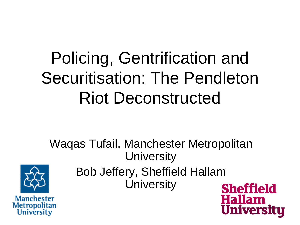### Policing, Gentrification and Securitisation: The Pendleton Riot Deconstructed

Waqas Tufail, Manchester Metropolitan **University** Bob Jeffery, Sheffield Hallam **University Sheffield** 

**Hallam** 

**Univer** 

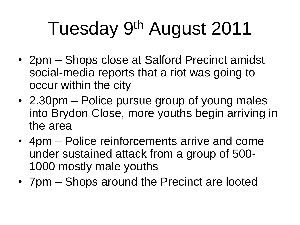# Tuesday 9<sup>th</sup> August 2011

- 2pm Shops close at Salford Precinct amidst social-media reports that a riot was going to occur within the city
- 2.30pm Police pursue group of young males into Brydon Close, more youths begin arriving in the area
- 4pm Police reinforcements arrive and come under sustained attack from a group of 500- 1000 mostly male youths
- 7pm Shops around the Precinct are looted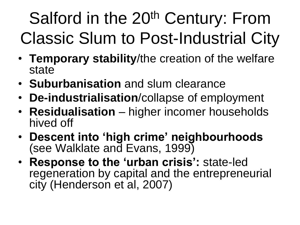# Salford in the 20<sup>th</sup> Century: From Classic Slum to Post-Industrial City

- **Temporary stability**/the creation of the welfare state
- **Suburbanisation** and slum clearance
- **De-industrialisation**/collapse of employment
- **Residualisation** higher incomer households hived off
- **Descent into 'high crime' neighbourhoods** (see Walklate and Evans, 1999)
- **Response to the 'urban crisis':** state-led regeneration by capital and the entrepreneurial city (Henderson et al, 2007)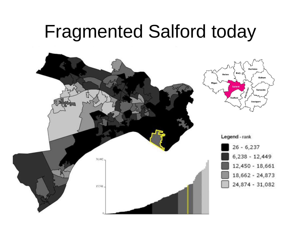### Fragmented Salford today

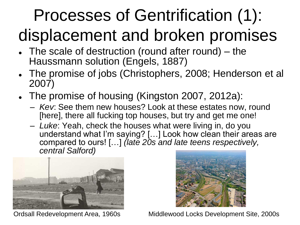# Processes of Gentrification (1):

### displacement and broken promises

- The scale of destruction (round after round) the Haussmann solution (Engels, 1887)
- The promise of jobs (Christophers, 2008; Henderson et al 2007)
- The promise of housing (Kingston 2007, 2012a):
	- *Kev*: See them new houses? Look at these estates now, round [here], there all fucking top houses, but try and get me one!
	- *Luke*: Yeah, check the houses what were living in, do you understand what I"m saying? […] Look how clean their areas are compared to ours! […] *(late 20s and late teens respectively, central Salford)*





Ordsall Redevelopment Area, 1960s Middlewood Locks Development Site, 2000s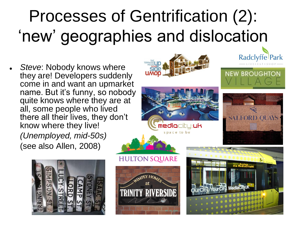## Processes of Gentrification (2): 'new' geographies and dislocation

 *Steve*: Nobody knows where they are! Developers suddenly come in and want an upmarket name. But it"s funny, so nobody quite knows where they are at all, some people who lived there all their lives, they don"t know where they live! *(Unemployed, mid-50s)*

(see also Allen, 2008)





**mediacitu:uk** space to be



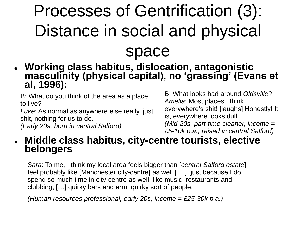### Processes of Gentrification (3): Distance in social and physical space

 **Working class habitus, dislocation, antagonistic masculinity (physical capital), no 'grassing' (Evans et al, 1996):**

B: What do you think of the area as a place to live?

*Luke*: As normal as anywhere else really, just shit, nothing for us to do.

*(Early 20s, born in central Salford)*

B: What looks bad around *Oldsville*? *Amelia*: Most places I think, everywhere"s shit! [laughs] Honestly! It is, everywhere looks dull. *(Mid-20s, part-time cleaner, income = £5-10k p.a., raised in central Salford)*

### **Middle class habitus, city-centre tourists, elective belongers**

*Sara*: To me, I think my local area feels bigger than [*central Salford estate*], feel probably like [Manchester city-centre] as well [….], just because I do spend so much time in city-centre as well, like music, restaurants and clubbing, […] quirky bars and erm, quirky sort of people.

*(Human resources professional, early 20s, income = £25-30k p.a.)*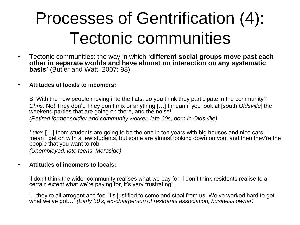### Processes of Gentrification (4): Tectonic communities

• Tectonic communities: the way in which **'different social groups move past each other in separate worlds and have almost no interaction on any systematic basis'** (Butler and Watt, 2007: 98)

#### • **Attitudes of locals to incomers:**

B: With the new people moving into the flats, do you think they participate in the community? *Chris*: No! They don"t. They don"t mix or anything […] I mean if you look at [south *Oldsville*] the weekend parties that are going on there, and the noise!

*(Retired former soldier and community worker, late 60s, born in Oldsville)*

*Luke*: […] them students are going to be the one in ten years with big houses and nice cars! I mean I get on with a few students, but some are almost looking down on you, and then they're the people that you want to rob.

*(Unemployed, late teens, Mereside)*

#### • **Attitudes of incomers to locals:**

"I don"t think the wider community realises what we pay for. I don"t think residents realise to a certain extent what we"re paying for, it"s very frustrating".

"…they"re all arrogant and feel it"s justified to come and steal from us. We"ve worked hard to get what we"ve got…" *(Early 30's, ex-chairperson of residents association, business owner)*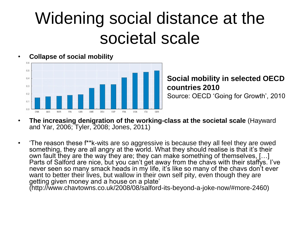### Widening social distance at the societal scale



**Social mobility in selected OECD countries 2010** Source: OECD "Going for Growth", 2010

- **The increasing denigration of the working-class at the societal scale** (Hayward and Yar, 2006; Tyler, 2008; Jones, 2011)
- "The reason these f\*\*k-wits are so aggressive is because they all feel they are owed something, they are all angry at the world. What they should realise is that it's their own fault they are the way they are; they can make something of themselves, […] Parts of Salford are nice, but you can't get away from the chavs with their staffys. I've never seen so many smack heads in my life, it's like so many of the chavs don't ever want to better their lives, but wallow in their own self pity, even though they are getting given money and a house on a plate' (http://www.chavtowns.co.uk/2008/08/salford-its-beyond-a-joke-now/#more-2460)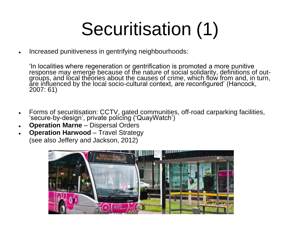# Securitisation (1)

Increased punitiveness in gentrifying neighbourhoods:

"In localities where regeneration or gentrification is promoted a more punitive response may emerge because of the nature of social solidarity, definitions of outgroups, and local theories about the causes of crime, which flow from and, in turn, are influenced by the local socio-cultural context, are reconfigured' (Hancock, 2007: 61)

- Forms of securitisation: CCTV, gated communities, off-road carparking facilities, 'secure-by-design', private policing ('QuayWatch')
- **Operation Marne** Dispersal Orders
- **Operation Harwood** Travel Strategy (see also Jeffery and Jackson, 2012)

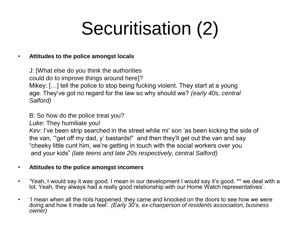# Securitisation (2)

#### • **Attitudes to the police amongst locals**

J: [What else do you think the authorities could do to improve things around here]? Mikey: […] tell the police to stop being fucking violent. They start at a young age. They"ve got no regard for the law so why should we? *(early 40s, central Salford)*

B: So how do the police treat you?

*Luke*: They humiliate you!

*Kev*: I've been strip searched in the street while mi' son 'as been kicking the side of the van, ""get off my dad, y" bastards!" and then they"ll get out the van and say "cheeky little cunt him, we"re getting in touch with the social workers over you and your kids" *(late teens and late 20s respectively, central Salford)*

#### • **Attitudes to the police amongst incomers**

- 'Yeah, I would say it was good. I mean in our development I would say it's good. \*\* we deal with a lot. Yeah, they always had a really good relationship with our Home Watch representatives".
- "I mean when all the riots happened, they came and knocked on the doors to see how we were doing and how it made us feel". *(Early 30's, ex-chairperson of residents association, business owner)*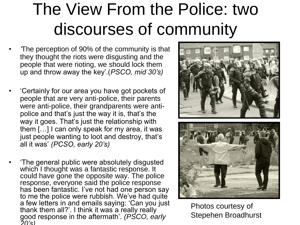### The View From the Police: two discourses of community

- *'*The perception of 90% of the community is that they thought the riots were disgusting and the people that were rioting, we should lock them up and throw away the key".(*PSCO, mid 30's)*
- "Certainly for our area you have got pockets of people that are very anti-police, their parents were anti-police, their grandparents were antipolice and that's just the way it is, that's the way it goes. That's just the relationship with them […] I can only speak for my area, it was just people wanting to loot and destroy, that's all it was" *(PCSO, early 20's)*
- "The general public were absolutely disgusted which I thought was a fantastic response. It could have gone the opposite way. The police response, everyone said the police response has been fantastic. I've not had one person say to me the police were rubbish. We've had quite a few letters in and emails saying: "Can you just thank them all?'. I think it was a really really good response in the aftermath". *(PSCO, early 20's)*





Photos courtesy of Stepehen Broadhurst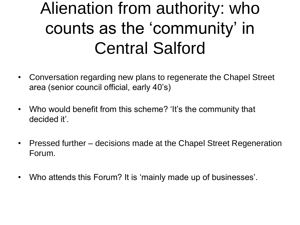### Alienation from authority: who counts as the 'community' in Central Salford

- Conversation regarding new plans to regenerate the Chapel Street area (senior council official, early 40"s)
- Who would benefit from this scheme? 'It's the community that decided it'.
- Pressed further decisions made at the Chapel Street Regeneration Forum.
- Who attends this Forum? It is 'mainly made up of businesses'.